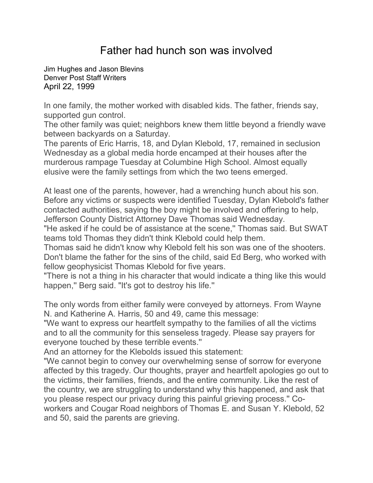## Father had hunch son was involved

[Jim Hughes and Jason Blevins](mailto:newsroom@denverpost.com) Denver Post Staff Writers April 22, 1999

In one family, the mother worked with disabled kids. The father, friends say, supported gun control.

The other family was quiet; neighbors knew them little beyond a friendly wave between backyards on a Saturday.

The parents of Eric Harris, 18, and Dylan Klebold, 17, remained in seclusion Wednesday as a global media horde encamped at their houses after the murderous rampage Tuesday at Columbine High School. Almost equally elusive were the family settings from which the two teens emerged.

At least one of the parents, however, had a wrenching hunch about his son. Before any victims or suspects were identified Tuesday, Dylan Klebold's father contacted authorities, saying the boy might be involved and offering to help, Jefferson County District Attorney Dave Thomas said Wednesday.

"He asked if he could be of assistance at the scene," Thomas said. But SWAT teams told Thomas they didn't think Klebold could help them.

Thomas said he didn't know why Klebold felt his son was one of the shooters. Don't blame the father for the sins of the child, said Ed Berg, who worked with fellow geophysicist Thomas Klebold for five years.

"There is not a thing in his character that would indicate a thing like this would happen,'' Berg said. "It's got to destroy his life.''

The only words from either family were conveyed by attorneys. From Wayne N. and Katherine A. Harris, 50 and 49, came this message:

"We want to express our heartfelt sympathy to the families of all the victims and to all the community for this senseless tragedy. Please say prayers for everyone touched by these terrible events.''

And an attorney for the Klebolds issued this statement:

"We cannot begin to convey our overwhelming sense of sorrow for everyone affected by this tragedy. Our thoughts, prayer and heartfelt apologies go out to the victims, their families, friends, and the entire community. Like the rest of the country, we are struggling to understand why this happened, and ask that you please respect our privacy during this painful grieving process.'' Coworkers and Cougar Road neighbors of Thomas E. and Susan Y. Klebold, 52 and 50, said the parents are grieving.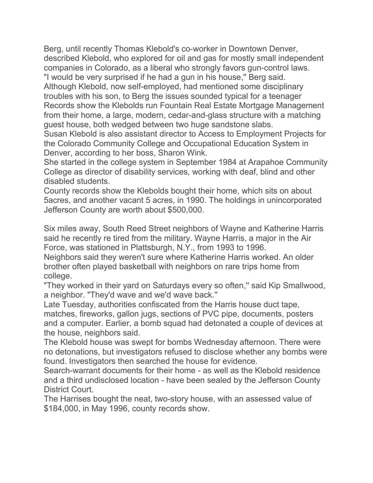Berg, until recently Thomas Klebold's co-worker in Downtown Denver, described Klebold, who explored for oil and gas for mostly small independent companies in Colorado, as a liberal who strongly favors gun-control laws. "I would be very surprised if he had a gun in his house,'' Berg said.

Although Klebold, now self-employed, had mentioned some disciplinary troubles with his son, to Berg the issues sounded typical for a teenager Records show the Klebolds run Fountain Real Estate Mortgage Management from their home, a large, modern, cedar-and-glass structure with a matching guest house, both wedged between two huge sandstone slabs.

Susan Klebold is also assistant director to Access to Employment Projects for the Colorado Community College and Occupational Education System in Denver, according to her boss, Sharon Wink.

She started in the college system in September 1984 at Arapahoe Community College as director of disability services, working with deaf, blind and other disabled students.

County records show the Klebolds bought their home, which sits on about 5acres, and another vacant 5 acres, in 1990. The holdings in unincorporated Jefferson County are worth about \$500,000.

Six miles away, South Reed Street neighbors of Wayne and Katherine Harris said he recently re tired from the military. Wayne Harris, a major in the Air Force, was stationed in Plattsburgh, N.Y., from 1993 to 1996.

Neighbors said they weren't sure where Katherine Harris worked. An older brother often played basketball with neighbors on rare trips home from college.

"They worked in their yard on Saturdays every so often,'' said Kip Smallwood, a neighbor. "They'd wave and we'd wave back.''

Late Tuesday, authorities confiscated from the Harris house duct tape, matches, fireworks, gallon jugs, sections of PVC pipe, documents, posters and a computer. Earlier, a bomb squad had detonated a couple of devices at the house, neighbors said.

The Klebold house was swept for bombs Wednesday afternoon. There were no detonations, but investigators refused to disclose whether any bombs were found. Investigators then searched the house for evidence.

Search-warrant documents for their home - as well as the Klebold residence and a third undisclosed location - have been sealed by the Jefferson County District Court.

The Harrises bought the neat, two-story house, with an assessed value of \$184,000, in May 1996, county records show.